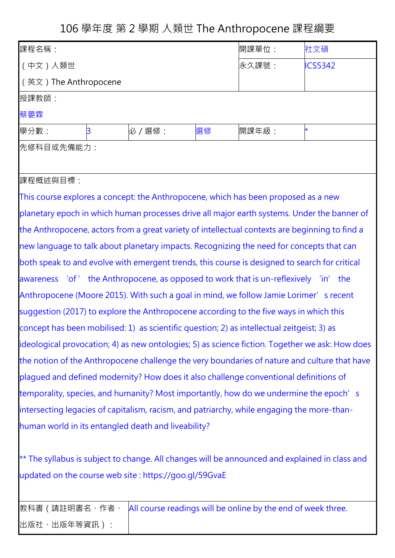106 學年度 第 2 學期 人類世 The Anthropocene 課程綱要

| 課程名稱:                                                                                                                                                    |   | 開課單位:   | 社文碩 |       |                |  |
|----------------------------------------------------------------------------------------------------------------------------------------------------------|---|---------|-----|-------|----------------|--|
| (中文)人類世                                                                                                                                                  |   |         |     | 永久課號: | <b>ICS5342</b> |  |
| (英文) The Anthropocene                                                                                                                                    |   |         |     |       |                |  |
| 授課教師:                                                                                                                                                    |   |         |     |       |                |  |
| 蔡晏霖                                                                                                                                                      |   |         |     |       |                |  |
| 學分數:                                                                                                                                                     | 3 | 必 / 選修: | 選修  | 開課年級: | $\star$        |  |
| 先修科目或先備能力:                                                                                                                                               |   |         |     |       |                |  |
|                                                                                                                                                          |   |         |     |       |                |  |
| 課程概述與目標:                                                                                                                                                 |   |         |     |       |                |  |
| This course explores a concept: the Anthropocene, which has been proposed as a new                                                                       |   |         |     |       |                |  |
| planetary epoch in which human processes drive all major earth systems. Under the banner of                                                              |   |         |     |       |                |  |
| the Anthropocene, actors from a great variety of intellectual contexts are beginning to find a                                                           |   |         |     |       |                |  |
| new language to talk about planetary impacts. Recognizing the need for concepts that can                                                                 |   |         |     |       |                |  |
| both speak to and evolve with emergent trends, this course is designed to search for critical                                                            |   |         |     |       |                |  |
| awareness 'of' the Anthropocene, as opposed to work that is un-reflexively 'in' the                                                                      |   |         |     |       |                |  |
| Anthropocene (Moore 2015). With such a goal in mind, we follow Jamie Lorimer's recent                                                                    |   |         |     |       |                |  |
| suggestion (2017) to explore the Anthropocene according to the five ways in which this                                                                   |   |         |     |       |                |  |
| concept has been mobilised: 1) as scientific question; 2) as intellectual zeitgeist; 3) as                                                               |   |         |     |       |                |  |
| ideological provocation; 4) as new ontologies; 5) as science fiction. Together we ask: How does                                                          |   |         |     |       |                |  |
| the notion of the Anthropocene challenge the very boundaries of nature and culture that have                                                             |   |         |     |       |                |  |
| plaqued and defined modernity? How does it also challenge conventional definitions of                                                                    |   |         |     |       |                |  |
| temporality, species, and humanity? Most importantly, how do we undermine the epoch's                                                                    |   |         |     |       |                |  |
| intersecting legacies of capitalism, racism, and patriarchy, while engaging the more-than-                                                               |   |         |     |       |                |  |
| human world in its entangled death and liveability?                                                                                                      |   |         |     |       |                |  |
|                                                                                                                                                          |   |         |     |       |                |  |
| ** The syllabus is subject to change. All changes will be announced and explained in class and<br>updated on the course web site : https://goo.gl/59GvaE |   |         |     |       |                |  |
|                                                                                                                                                          |   |         |     |       |                |  |

教科書 (請註明書名、作者、 All course readings will be online by the end of week three. 出版社、出版年等資訊):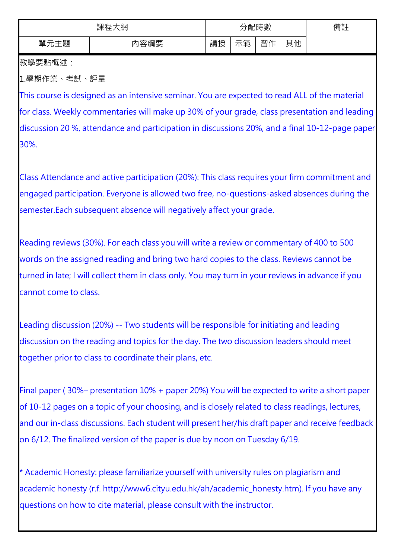| 、網<br>課程 |     |    | 配時數 | 備註 |    |  |
|----------|-----|----|-----|----|----|--|
| 題<br>單   | 容綱要 | 講授 | 範   | 習作 | 其他 |  |

教學要點概述:

1.學期作業、考試、評量

This course is designed as an intensive seminar. You are expected to read ALL of the material for class. Weekly commentaries will make up 30% of your grade, class presentation and leading discussion 20 %, attendance and participation in discussions 20%, and a final 10-12-page paper 30%.

Class Attendance and active participation (20%): This class requires your firm commitment and engaged participation. Everyone is allowed two free, no-questions-asked absences during the semester.Each subsequent absence will negatively affect your grade.

Reading reviews (30%). For each class you will write a review or commentary of 400 to 500 words on the assigned reading and bring two hard copies to the class. Reviews cannot be turned in late; I will collect them in class only. You may turn in your reviews in advance if you cannot come to class.

Leading discussion (20%) -- Two students will be responsible for initiating and leading discussion on the reading and topics for the day. The two discussion leaders should meet together prior to class to coordinate their plans, etc.

Final paper ( 30%– presentation 10% + paper 20%) You will be expected to write a short paper of 10-12 pages on a topic of your choosing, and is closely related to class readings, lectures, and our in-class discussions. Each student will present her/his draft paper and receive feedback on 6/12. The finalized version of the paper is due by noon on Tuesday 6/19.

\* Academic Honesty: please familiarize yourself with university rules on plagiarism and academic honesty (r.f. http://www6.cityu.edu.hk/ah/academic\_honesty.htm). If you have any questions on how to cite material, please consult with the instructor.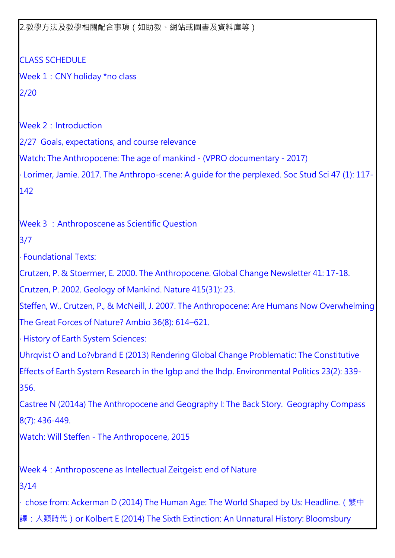2.教學方法及教學相關配合事項(如助教、網站或圖書及資料庫等)

CLASS SCHEDULE Week 1: CNY holiday \*no class 2/20 Week 2: Introduction 2/27 Goals, expectations, and course relevance Watch: The Anthropocene: The age of mankind - (VPRO documentary - 2017) ‧ Lorimer, Jamie. 2017. The Anthropo-scene: A guide for the perplexed. Soc Stud Sci 47 (1): 117- 142 Week 3 : Anthroposcene as Scientific Question 3/7 ‧ Foundational Texts: Crutzen, P. & Stoermer, E. 2000. The Anthropocene. Global Change Newsletter 41: 17-18. Crutzen, P. 2002. Geology of Mankind. Nature 415(31): 23. Steffen, W., Crutzen, P., & McNeill, J. 2007. The Anthropocene: Are Humans Now Overwhelming The Great Forces of Nature? Ambio 36(8): 614–621. ‧ History of Earth System Sciences: Uhrqvist O and Lo?vbrand E (2013) Rendering Global Change Problematic: The Constitutive Effects of Earth System Research in the Igbp and the Ihdp. Environmental Politics 23(2): 339- 356. Castree N (2014a) The Anthropocene and Geography I: The Back Story. Geography Compass 8(7): 436-449. Watch: Will Steffen - The Anthropocene, 2015 Week 4: Anthroposcene as Intellectual Zeitgeist: end of Nature 3/14 chose from: Ackerman D (2014) The Human Age: The World Shaped by Us: Headline. (繁中 譯:人類時代)or Kolbert E (2014) The Sixth Extinction: An Unnatural History: Bloomsbury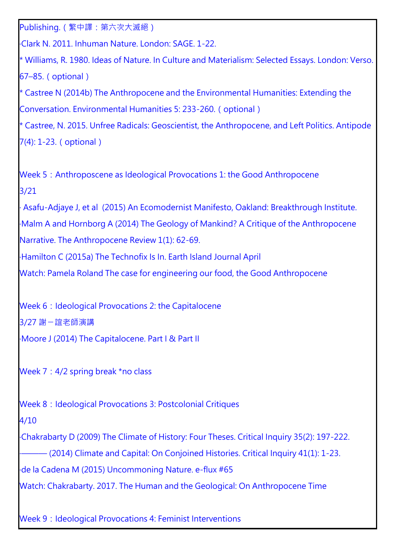Publishing.(繁中譯:第六次大滅絕)

‧Clark N. 2011. Inhuman Nature. London: SAGE. 1-22.

\* Williams, R. 1980. Ideas of Nature. In Culture and Materialism: Selected Essays. London: Verso. 67–85.(optional)

\* Castree N (2014b) The Anthropocene and the Environmental Humanities: Extending the Conversation. Environmental Humanities 5: 233-260.(optional)

\* Castree, N. 2015. Unfree Radicals: Geoscientist, the Anthropocene, and Left Politics. Antipode 7(4): 1-23.(optional)

Week 5: Anthroposcene as Ideological Provocations 1: the Good Anthropocene 3/21

‧ Asafu-Adjaye J, et al (2015) An Ecomodernist Manifesto, Oakland: Breakthrough Institute.

‧Malm A and Hornborg A (2014) The Geology of Mankind? A Critique of the Anthropocene Narrative. The Anthropocene Review 1(1): 62-69.

‧Hamilton C (2015a) The Technofix Is In. Earth Island Journal April

Watch: Pamela Roland The case for engineering our food, the Good Anthropocene

Week 6: Ideological Provocations 2: the Capitalocene

3/27 謝ㄧ誼老師演講

‧Moore J (2014) The Capitalocene. Part I & Part II

Week 7: 4/2 spring break \*no class

Week 8: Ideological Provocations 3: Postcolonial Critiques

## 4/10

‧Chakrabarty D (2009) The Climate of History: Four Theses. Critical Inquiry 35(2): 197-222.

- (2014) Climate and Capital: On Conjoined Histories. Critical Inquiry 41(1): 1-23.

‧de la Cadena M (2015) Uncommoning Nature. e-flux #65

Watch: Chakrabarty. 2017. The Human and the Geological: On Anthropocene Time

Week 9: Ideological Provocations 4: Feminist Interventions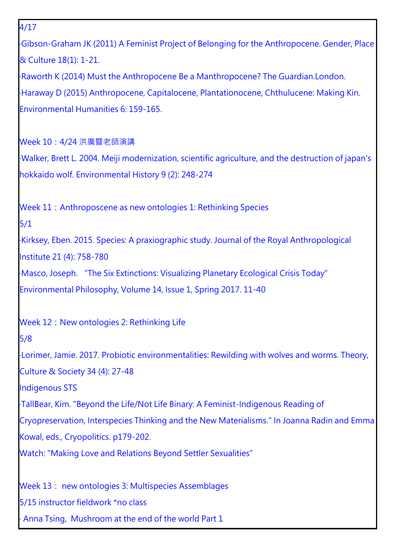4/17 ‧Gibson-Graham JK (2011) A Feminist Project of Belonging for the Anthropocene. Gender, Place & Culture 18(1): 1-21. ‧Raworth K (2014) Must the Anthropocene Be a Manthropocene? The Guardian.London. ‧Haraway D (2015) Anthropocene, Capitalocene, Plantationocene, Chthulucene: Making Kin. Environmental Humanities 6: 159-165. Week 10:4/24 洪廣暨老師演講 ‧Walker, Brett L. 2004. Meiji modernization, scientific agriculture, and the destruction of japan's hokkaido wolf. Environmental History 9 (2): 248-274 Week 11: Anthroposcene as new ontologies 1: Rethinking Species 5/1 ‧Kirksey, Eben. 2015. Species: A praxiographic study. Journal of the Royal Anthropological Institute 21 (4): 758-780 ‧Masco, Joseph. "The Six Extinctions: Visualizing Planetary Ecological Crisis Today" Environmental Philosophy, Volume 14, Issue 1, Spring 2017. 11-40 Week 12: New ontologies 2: Rethinking Life 5/8 ‧Lorimer, Jamie. 2017. Probiotic environmentalities: Rewilding with wolves and worms. Theory, Culture & Society 34 (4): 27-48 Indigenous STS ‧TallBear, Kim. "Beyond the Life/Not Life Binary: A Feminist-Indigenous Reading of Cryopreservation, Interspecies Thinking and the New Materialisms." In Joanna Radin and Emma Kowal, eds., Cryopolitics. p179-202. Watch: "Making Love and Relations Beyond Settler Sexualities" Week 13: new ontologies 3: Multispecies Assemblages

5/15 instructor fieldwork \*no class

Anna Tsing, Mushroom at the end of the world Part 1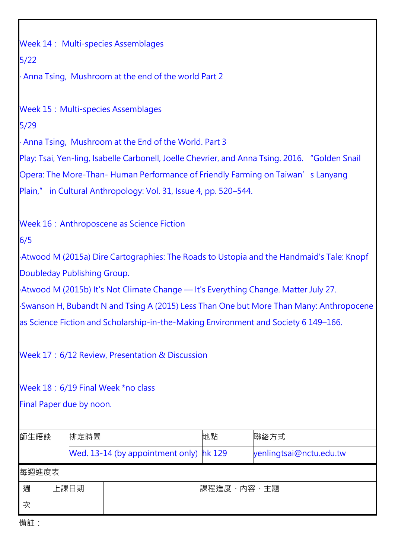| Week 14: Multi-species Assemblages                                                             |                                           |                                                     |            |                         |  |  |  |
|------------------------------------------------------------------------------------------------|-------------------------------------------|-----------------------------------------------------|------------|-------------------------|--|--|--|
| $5/22$                                                                                         |                                           |                                                     |            |                         |  |  |  |
|                                                                                                |                                           | Anna Tsing, Mushroom at the end of the world Part 2 |            |                         |  |  |  |
|                                                                                                |                                           |                                                     |            |                         |  |  |  |
|                                                                                                | <b>Week 15: Multi-species Assemblages</b> |                                                     |            |                         |  |  |  |
| 5/29                                                                                           |                                           |                                                     |            |                         |  |  |  |
| Anna Tsing, Mushroom at the End of the World. Part 3                                           |                                           |                                                     |            |                         |  |  |  |
| Play: Tsai, Yen-ling, Isabelle Carbonell, Joelle Chevrier, and Anna Tsing. 2016. "Golden Snail |                                           |                                                     |            |                         |  |  |  |
| Opera: The More-Than-Human Performance of Friendly Farming on Taiwan's Lanyang                 |                                           |                                                     |            |                         |  |  |  |
| Plain," in Cultural Anthropology: Vol. 31, Issue 4, pp. 520–544.                               |                                           |                                                     |            |                         |  |  |  |
| <b>Week 16: Anthroposcene as Science Fiction</b>                                               |                                           |                                                     |            |                         |  |  |  |
| 6/5                                                                                            |                                           |                                                     |            |                         |  |  |  |
| Atwood M (2015a) Dire Cartographies: The Roads to Ustopia and the Handmaid's Tale: Knopf       |                                           |                                                     |            |                         |  |  |  |
| Doubleday Publishing Group.                                                                    |                                           |                                                     |            |                         |  |  |  |
| Atwood M (2015b) It's Not Climate Change — It's Everything Change. Matter July 27.             |                                           |                                                     |            |                         |  |  |  |
| Swanson H, Bubandt N and Tsing A (2015) Less Than One but More Than Many: Anthropocene         |                                           |                                                     |            |                         |  |  |  |
| as Science Fiction and Scholarship-in-the-Making Environment and Society 6 149–166.            |                                           |                                                     |            |                         |  |  |  |
| Week 17: 6/12 Review, Presentation & Discussion                                                |                                           |                                                     |            |                         |  |  |  |
| Week 18: 6/19 Final Week *no class                                                             |                                           |                                                     |            |                         |  |  |  |
| Final Paper due by noon.                                                                       |                                           |                                                     |            |                         |  |  |  |
|                                                                                                |                                           |                                                     |            |                         |  |  |  |
| 師生晤談                                                                                           | 排定時間                                      |                                                     | 地點         | 聯絡方式                    |  |  |  |
|                                                                                                |                                           | Wed. 13-14 (by appointment only)                    | hk 129     | yenlingtsai@nctu.edu.tw |  |  |  |
| 每週進度表                                                                                          |                                           |                                                     |            |                         |  |  |  |
| 週                                                                                              | 上課日期                                      |                                                     | 課程進度、內容、主題 |                         |  |  |  |
| 次                                                                                              |                                           |                                                     |            |                         |  |  |  |
|                                                                                                |                                           |                                                     |            |                         |  |  |  |